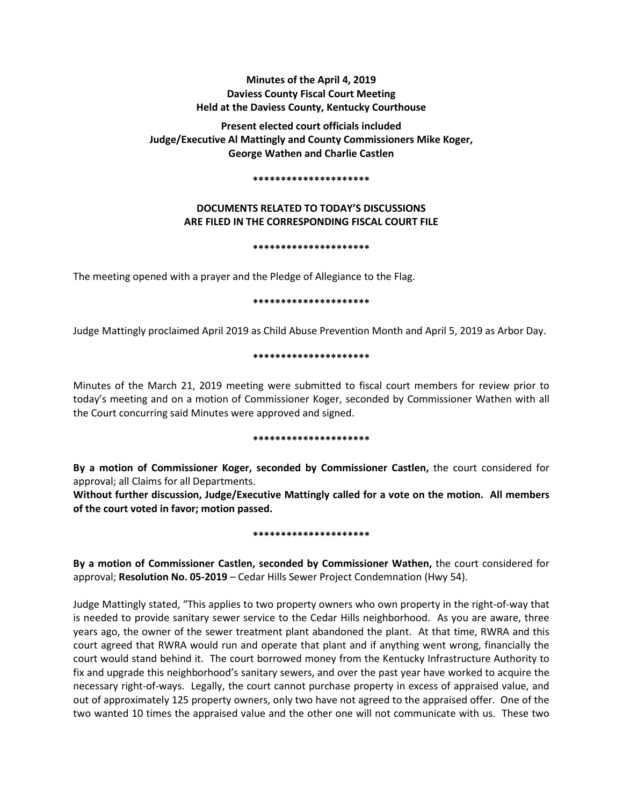# **Minutes of the April 4, 2019 Daviess County Fiscal Court Meeting Held at the Daviess County, Kentucky Courthouse**

**Present elected court officials included Judge/Executive Al Mattingly and County Commissioners Mike Koger, George Wathen and Charlie Castlen** 

#### **\*\*\*\*\*\*\*\*\*\*\*\*\*\*\*\*\*\*\*\*\***

# **DOCUMENTS RELATED TO TODAY'S DISCUSSIONS ARE FILED IN THE CORRESPONDING FISCAL COURT FILE**

### **\*\*\*\*\*\*\*\*\*\*\*\*\*\*\*\*\*\*\*\*\***

The meeting opened with a prayer and the Pledge of Allegiance to the Flag.

### **\*\*\*\*\*\*\*\*\*\*\*\*\*\*\*\*\*\*\*\*\***

Judge Mattingly proclaimed April 2019 as Child Abuse Prevention Month and April 5, 2019 as Arbor Day.

### **\*\*\*\*\*\*\*\*\*\*\*\*\*\*\*\*\*\*\*\*\***

Minutes of the March 21, 2019 meeting were submitted to fiscal court members for review prior to today's meeting and on a motion of Commissioner Koger, seconded by Commissioner Wathen with all the Court concurring said Minutes were approved and signed.

### **\*\*\*\*\*\*\*\*\*\*\*\*\*\*\*\*\*\*\*\*\***

**By a motion of Commissioner Koger, seconded by Commissioner Castlen,** the court considered for approval; all Claims for all Departments.

**Without further discussion, Judge/Executive Mattingly called for a vote on the motion. All members of the court voted in favor; motion passed.** 

### **\*\*\*\*\*\*\*\*\*\*\*\*\*\*\*\*\*\*\*\*\***

**By a motion of Commissioner Castlen, seconded by Commissioner Wathen,** the court considered for approval; **Resolution No. 05-2019** – Cedar Hills Sewer Project Condemnation (Hwy 54).

Judge Mattingly stated, "This applies to two property owners who own property in the right-of-way that is needed to provide sanitary sewer service to the Cedar Hills neighborhood. As you are aware, three years ago, the owner of the sewer treatment plant abandoned the plant. At that time, RWRA and this court agreed that RWRA would run and operate that plant and if anything went wrong, financially the court would stand behind it. The court borrowed money from the Kentucky Infrastructure Authority to fix and upgrade this neighborhood's sanitary sewers, and over the past year have worked to acquire the necessary right-of-ways. Legally, the court cannot purchase property in excess of appraised value, and out of approximately 125 property owners, only two have not agreed to the appraised offer. One of the two wanted 10 times the appraised value and the other one will not communicate with us. These two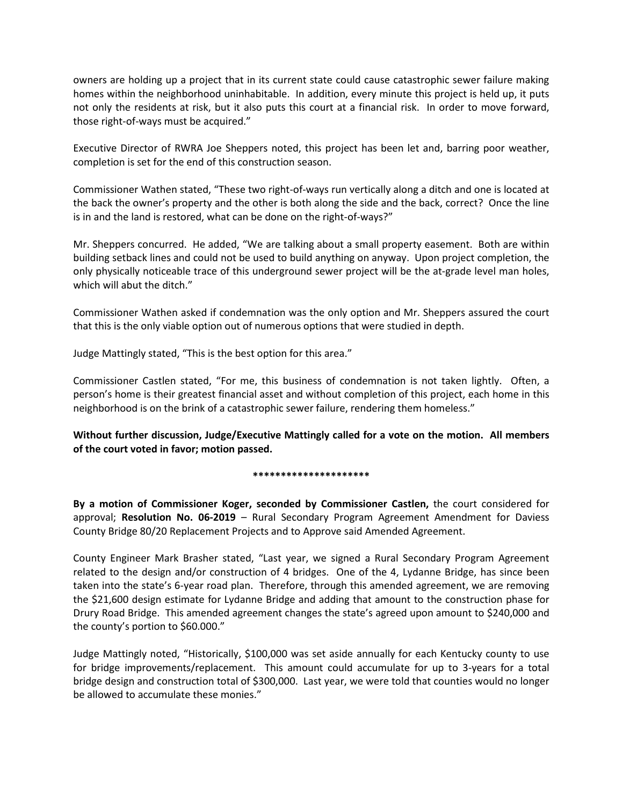owners are holding up a project that in its current state could cause catastrophic sewer failure making homes within the neighborhood uninhabitable. In addition, every minute this project is held up, it puts not only the residents at risk, but it also puts this court at a financial risk. In order to move forward, those right-of-ways must be acquired."

Executive Director of RWRA Joe Sheppers noted, this project has been let and, barring poor weather, completion is set for the end of this construction season.

Commissioner Wathen stated, "These two right-of-ways run vertically along a ditch and one is located at the back the owner's property and the other is both along the side and the back, correct? Once the line is in and the land is restored, what can be done on the right-of-ways?"

Mr. Sheppers concurred. He added, "We are talking about a small property easement. Both are within building setback lines and could not be used to build anything on anyway. Upon project completion, the only physically noticeable trace of this underground sewer project will be the at-grade level man holes, which will abut the ditch."

Commissioner Wathen asked if condemnation was the only option and Mr. Sheppers assured the court that this is the only viable option out of numerous options that were studied in depth.

Judge Mattingly stated, "This is the best option for this area."

Commissioner Castlen stated, "For me, this business of condemnation is not taken lightly. Often, a person's home is their greatest financial asset and without completion of this project, each home in this neighborhood is on the brink of a catastrophic sewer failure, rendering them homeless."

**Without further discussion, Judge/Executive Mattingly called for a vote on the motion. All members of the court voted in favor; motion passed.** 

# **\*\*\*\*\*\*\*\*\*\*\*\*\*\*\*\*\*\*\*\*\***

**By a motion of Commissioner Koger, seconded by Commissioner Castlen,** the court considered for approval; **Resolution No. 06-2019** – Rural Secondary Program Agreement Amendment for Daviess County Bridge 80/20 Replacement Projects and to Approve said Amended Agreement.

County Engineer Mark Brasher stated, "Last year, we signed a Rural Secondary Program Agreement related to the design and/or construction of 4 bridges. One of the 4, Lydanne Bridge, has since been taken into the state's 6-year road plan. Therefore, through this amended agreement, we are removing the \$21,600 design estimate for Lydanne Bridge and adding that amount to the construction phase for Drury Road Bridge. This amended agreement changes the state's agreed upon amount to \$240,000 and the county's portion to \$60.000."

Judge Mattingly noted, "Historically, \$100,000 was set aside annually for each Kentucky county to use for bridge improvements/replacement. This amount could accumulate for up to 3-years for a total bridge design and construction total of \$300,000. Last year, we were told that counties would no longer be allowed to accumulate these monies."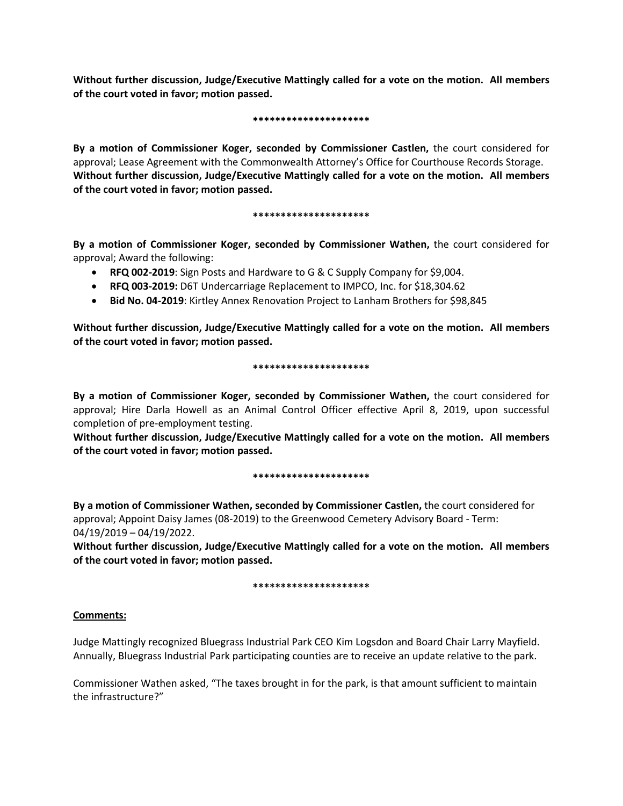**Without further discussion, Judge/Executive Mattingly called for a vote on the motion. All members of the court voted in favor; motion passed.** 

### **\*\*\*\*\*\*\*\*\*\*\*\*\*\*\*\*\*\*\*\*\***

**By a motion of Commissioner Koger, seconded by Commissioner Castlen,** the court considered for approval; Lease Agreement with the Commonwealth Attorney's Office for Courthouse Records Storage. **Without further discussion, Judge/Executive Mattingly called for a vote on the motion. All members of the court voted in favor; motion passed.** 

# **\*\*\*\*\*\*\*\*\*\*\*\*\*\*\*\*\*\*\*\*\***

**By a motion of Commissioner Koger, seconded by Commissioner Wathen,** the court considered for approval; Award the following:

- **RFQ 002-2019**: Sign Posts and Hardware to G & C Supply Company for \$9,004.
- **RFQ 003-2019:** D6T Undercarriage Replacement to IMPCO, Inc. for \$18,304.62
- **Bid No. 04-2019**: Kirtley Annex Renovation Project to Lanham Brothers for \$98,845

**Without further discussion, Judge/Executive Mattingly called for a vote on the motion. All members of the court voted in favor; motion passed.** 

# **\*\*\*\*\*\*\*\*\*\*\*\*\*\*\*\*\*\*\*\*\***

**By a motion of Commissioner Koger, seconded by Commissioner Wathen,** the court considered for approval; Hire Darla Howell as an Animal Control Officer effective April 8, 2019, upon successful completion of pre-employment testing.

**Without further discussion, Judge/Executive Mattingly called for a vote on the motion. All members of the court voted in favor; motion passed.** 

### **\*\*\*\*\*\*\*\*\*\*\*\*\*\*\*\*\*\*\*\*\***

**By a motion of Commissioner Wathen, seconded by Commissioner Castlen,** the court considered for approval; Appoint Daisy James (08-2019) to the Greenwood Cemetery Advisory Board - Term: 04/19/2019 – 04/19/2022.

**Without further discussion, Judge/Executive Mattingly called for a vote on the motion. All members of the court voted in favor; motion passed.** 

# **\*\*\*\*\*\*\*\*\*\*\*\*\*\*\*\*\*\*\*\*\***

# **Comments:**

Judge Mattingly recognized Bluegrass Industrial Park CEO Kim Logsdon and Board Chair Larry Mayfield. Annually, Bluegrass Industrial Park participating counties are to receive an update relative to the park.

Commissioner Wathen asked, "The taxes brought in for the park, is that amount sufficient to maintain the infrastructure?"